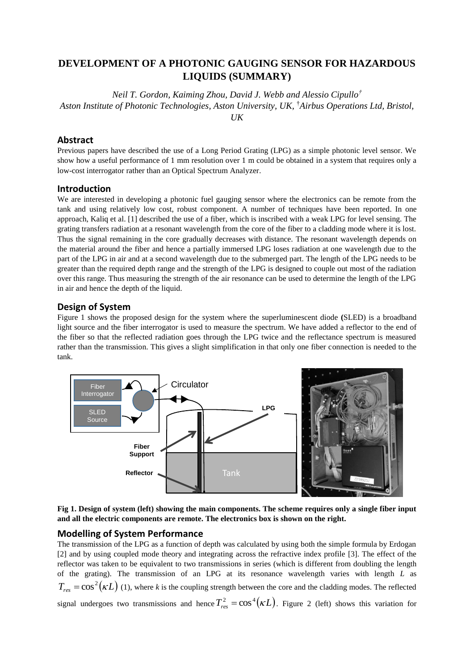# **DEVELOPMENT OF A PHOTONIC GAUGING SENSOR FOR HAZARDOUS LIQUIDS (SUMMARY)**

*Neil T. Gordon, Kaiming Zhou, David J. Webb and Alessio Cipullo† Aston Institute of Photonic Technologies, Aston University, UK,* †*Airbus Operations Ltd, Bristol, UK*

## **Abstract**

Previous papers have described the use of a Long Period Grating (LPG) as a simple photonic level sensor. We show how a useful performance of 1 mm resolution over 1 m could be obtained in a system that requires only a low-cost interrogator rather than an Optical Spectrum Analyzer.

## **Introduction**

We are interested in developing a photonic fuel gauging sensor where the electronics can be remote from the tank and using relatively low cost, robust component. A number of techniques have been reported. In one approach, Kaliq et al[. \[1\]](#page-1-0) described the use of a fiber, which is inscribed with a weak LPG for level sensing. The grating transfers radiation at a resonant wavelength from the core of the fiber to a cladding mode where it is lost. Thus the signal remaining in the core gradually decreases with distance. The resonant wavelength depends on the material around the fiber and hence a partially immersed LPG loses radiation at one wavelength due to the part of the LPG in air and at a second wavelength due to the submerged part. The length of the LPG needs to be greater than the required depth range and the strength of the LPG is designed to couple out most of the radiation over this range. Thus measuring the strength of the air resonance can be used to determine the length of the LPG in air and hence the depth of the liquid.

### **Design of System**

Figure [1](#page-0-0) shows the proposed design for the system where the superluminescent diode **(**SLED) is a broadband light source and the fiber interrogator is used to measure the spectrum. We have added a reflector to the end of the fiber so that the reflected radiation goes through the LPG twice and the reflectance spectrum is measured rather than the transmission. This gives a slight simplification in that only one fiber connection is needed to the tank.



<span id="page-0-0"></span>**Fig 1. Design of system (left) showing the main components. The scheme requires only a single fiber input and all the electric components are remote. The electronics box is shown on the right.**

## **Modelling of System Performance**

The transmission of the LPG as a function of depth was calculated by using both the simple formula by Erdogan [\[2\]](#page-1-1) and by using coupled mode theory and integrating across the refractive index profile [\[3\].](#page-1-2) The effect of the reflector was taken to be equivalent to two transmissions in series (which is different from doubling the length of the grating). The transmission of an LPG at its resonance wavelength varies with length *L* as  $T_{res} = \cos^2(\kappa L)$  (1), where *k* is the coupling strength between the core and the cladding modes. The reflected signal undergoes two transmissions and hence  $T_{res}^2 = \cos^4(\kappa L)$  $T_{res}^2 = \cos^4(\kappa L)$  $T_{res}^2 = \cos^4(\kappa L)$ . Figure 2 (left) shows this variation for